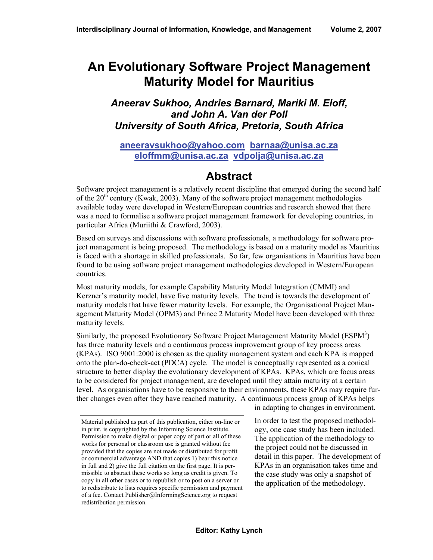# **An Evolutionary Software Project Management Maturity Model for Mauritius**

#### *Aneerav Sukhoo, Andries Barnard, Mariki M. Eloff, and John A. Van der Poll University of South Africa, Pretoria, South Africa*

#### **aneeravsukhoo@yahoo.com barnaa@unisa.ac.za eloffmm@unisa.ac.za vdpolja@unisa.ac.za**

## **Abstract**

Software project management is a relatively recent discipline that emerged during the second half of the  $20<sup>th</sup>$  century (Kwak, 2003). Many of the software project management methodologies available today were developed in Western/European countries and research showed that there was a need to formalise a software project management framework for developing countries, in particular Africa (Muriithi & Crawford, 2003).

Based on surveys and discussions with software professionals, a methodology for software project management is being proposed. The methodology is based on a maturity model as Mauritius is faced with a shortage in skilled professionals. So far, few organisations in Mauritius have been found to be using software project management methodologies developed in Western/European countries.

Most maturity models, for example Capability Maturity Model Integration (CMMI) and Kerzner's maturity model, have five maturity levels. The trend is towards the development of maturity models that have fewer maturity levels. For example, the Organisational Project Management Maturity Model (OPM3) and Prince 2 Maturity Model have been developed with three maturity levels.

Similarly, the proposed Evolutionary Software Project Management Maturity Model (ESPM<sup>3</sup>) has three maturity levels and a continuous process improvement group of key process areas (KPAs). ISO 9001:2000 is chosen as the quality management system and each KPA is mapped onto the plan-do-check-act (PDCA) cycle. The model is conceptually represented as a conical structure to better display the evolutionary development of KPAs. KPAs, which are focus areas to be considered for project management, are developed until they attain maturity at a certain level. As organisations have to be responsive to their environments, these KPAs may require further changes even after they have reached maturity. A continuous process group of KPAs helps

in adapting to changes in environment.

In order to test the proposed methodology, one case study has been included. The application of the methodology to the project could not be discussed in detail in this paper. The development of KPAs in an organisation takes time and the case study was only a snapshot of the application of the methodology.

Material published as part of this publication, either on-line or in print, is copyrighted by the Informing Science Institute. Permission to make digital or paper copy of part or all of these works for personal or classroom use is granted without fee provided that the copies are not made or distributed for profit or commercial advantage AND that copies 1) bear this notice in full and 2) give the full citation on the first page. It is permissible to abstract these works so long as credit is given. To copy in all other cases or to republish or to post on a server or to redistribute to lists requires specific permission and payment of a fee. Contact Publisher@InformingScience.org to request redistribution permission.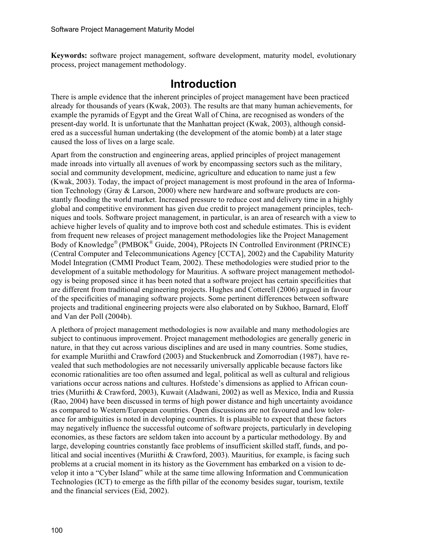**Keywords:** software project management, software development, maturity model, evolutionary process, project management methodology.

### **Introduction**

There is ample evidence that the inherent principles of project management have been practiced already for thousands of years (Kwak, 2003). The results are that many human achievements, for example the pyramids of Egypt and the Great Wall of China, are recognised as wonders of the present-day world. It is unfortunate that the Manhattan project (Kwak, 2003), although considered as a successful human undertaking (the development of the atomic bomb) at a later stage caused the loss of lives on a large scale.

Apart from the construction and engineering areas, applied principles of project management made inroads into virtually all avenues of work by encompassing sectors such as the military, social and community development, medicine, agriculture and education to name just a few (Kwak, 2003). Today, the impact of project management is most profound in the area of Information Technology (Gray & Larson, 2000) where new hardware and software products are constantly flooding the world market. Increased pressure to reduce cost and delivery time in a highly global and competitive environment has given due credit to project management principles, techniques and tools. Software project management, in particular, is an area of research with a view to achieve higher levels of quality and to improve both cost and schedule estimates. This is evident from frequent new releases of project management methodologies like the Project Management Body of Knowledge® (PMBOK® Guide, 2004), PRojects IN Controlled Environment (PRINCE) (Central Computer and Telecommunications Agency [CCTA], 2002) and the Capability Maturity Model Integration (CMMI Product Team, 2002). These methodologies were studied prior to the development of a suitable methodology for Mauritius. A software project management methodology is being proposed since it has been noted that a software project has certain specificities that are different from traditional engineering projects. Hughes and Cotterell (2006) argued in favour of the specificities of managing software projects. Some pertinent differences between software projects and traditional engineering projects were also elaborated on by Sukhoo, Barnard, Eloff and Van der Poll (2004b).

A plethora of project management methodologies is now available and many methodologies are subject to continuous improvement. Project management methodologies are generally generic in nature, in that they cut across various disciplines and are used in many countries. Some studies, for example Muriithi and Crawford (2003) and Stuckenbruck and Zomorrodian (1987), have revealed that such methodologies are not necessarily universally applicable because factors like economic rationalities are too often assumed and legal, political as well as cultural and religious variations occur across nations and cultures. Hofstede's dimensions as applied to African countries (Muriithi & Crawford, 2003), Kuwait (Aladwani, 2002) as well as Mexico, India and Russia (Rao, 2004) have been discussed in terms of high power distance and high uncertainty avoidance as compared to Western/European countries. Open discussions are not favoured and low tolerance for ambiguities is noted in developing countries. It is plausible to expect that these factors may negatively influence the successful outcome of software projects, particularly in developing economies, as these factors are seldom taken into account by a particular methodology. By and large, developing countries constantly face problems of insufficient skilled staff, funds, and political and social incentives (Muriithi & Crawford, 2003). Mauritius, for example, is facing such problems at a crucial moment in its history as the Government has embarked on a vision to develop it into a "Cyber Island" while at the same time allowing Information and Communication Technologies (ICT) to emerge as the fifth pillar of the economy besides sugar, tourism, textile and the financial services (Eid, 2002).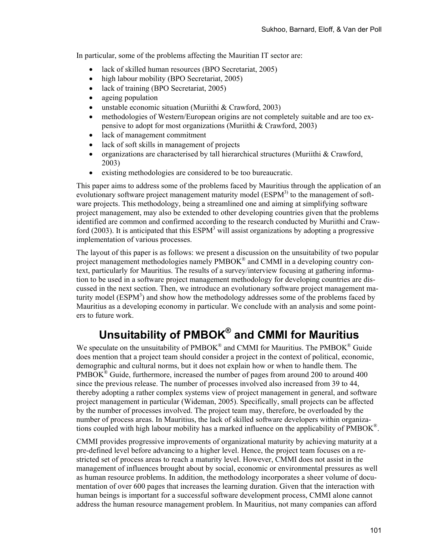In particular, some of the problems affecting the Mauritian IT sector are:

- lack of skilled human resources (BPO Secretariat, 2005)
- high labour mobility (BPO Secretariat, 2005)
- lack of training (BPO Secretariat, 2005)
- ageing population
- unstable economic situation (Muriithi & Crawford, 2003)
- methodologies of Western/European origins are not completely suitable and are too expensive to adopt for most organizations (Muriithi & Crawford, 2003)
- lack of management commitment
- lack of soft skills in management of projects
- organizations are characterised by tall hierarchical structures (Muriithi  $& C$ rawford, 2003)
- existing methodologies are considered to be too bureaucratic.

This paper aims to address some of the problems faced by Mauritius through the application of an evolutionary software project management maturity model ( $ESPM<sup>3</sup>$ ) to the management of software projects. This methodology, being a streamlined one and aiming at simplifying software project management, may also be extended to other developing countries given that the problems identified are common and confirmed according to the research conducted by Muriithi and Crawford (2003). It is anticipated that this  $ESPM<sup>3</sup>$  will assist organizations by adopting a progressive implementation of various processes.

The layout of this paper is as follows: we present a discussion on the unsuitability of two popular project management methodologies namely PMBOK® and CMMI in a developing country context, particularly for Mauritius. The results of a survey/interview focusing at gathering information to be used in a software project management methodology for developing countries are discussed in the next section. Then, we introduce an evolutionary software project management maturity model  $(ESPM<sup>3</sup>)$  and show how the methodology addresses some of the problems faced by Mauritius as a developing economy in particular. We conclude with an analysis and some pointers to future work.

# **Unsuitability of PMBOK® and CMMI for Mauritius**

We speculate on the unsuitability of  $PMBOK^{\circledast}$  and CMMI for Mauritius. The  $PMBOK^{\circledast}$  Guide does mention that a project team should consider a project in the context of political, economic, demographic and cultural norms, but it does not explain how or when to handle them. The  $PMBOK^{\circledast}$  Guide, furthermore, increased the number of pages from around 200 to around 400 since the previous release. The number of processes involved also increased from 39 to 44, thereby adopting a rather complex systems view of project management in general, and software project management in particular (Wideman, 2005). Specifically, small projects can be affected by the number of processes involved. The project team may, therefore, be overloaded by the number of process areas. In Mauritius, the lack of skilled software developers within organizations coupled with high labour mobility has a marked influence on the applicability of PMBOK®.

CMMI provides progressive improvements of organizational maturity by achieving maturity at a pre-defined level before advancing to a higher level. Hence, the project team focuses on a restricted set of process areas to reach a maturity level. However, CMMI does not assist in the management of influences brought about by social, economic or environmental pressures as well as human resource problems. In addition, the methodology incorporates a sheer volume of documentation of over 600 pages that increases the learning duration. Given that the interaction with human beings is important for a successful software development process, CMMI alone cannot address the human resource management problem. In Mauritius, not many companies can afford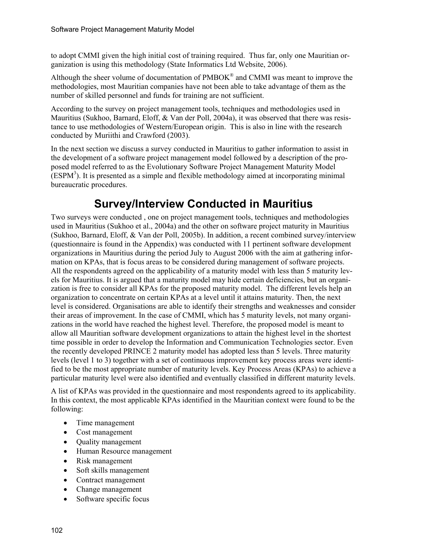to adopt CMMI given the high initial cost of training required. Thus far, only one Mauritian organization is using this methodology (State Informatics Ltd Website, 2006).

Although the sheer volume of documentation of  $PMBOK^{\circledR}$  and CMMI was meant to improve the methodologies, most Mauritian companies have not been able to take advantage of them as the number of skilled personnel and funds for training are not sufficient.

According to the survey on project management tools, techniques and methodologies used in Mauritius (Sukhoo, Barnard, Eloff, & Van der Poll, 2004a), it was observed that there was resistance to use methodologies of Western/European origin. This is also in line with the research conducted by Muriithi and Crawford (2003).

In the next section we discuss a survey conducted in Mauritius to gather information to assist in the development of a software project management model followed by a description of the proposed model referred to as the Evolutionary Software Project Management Maturity Model  $\widehat{(ESPM^3)}$ . It is presented as a simple and flexible methodology aimed at incorporating minimal bureaucratic procedures.

## **Survey/Interview Conducted in Mauritius**

Two surveys were conducted , one on project management tools, techniques and methodologies used in Mauritius (Sukhoo et al., 2004a) and the other on software project maturity in Mauritius (Sukhoo, Barnard, Eloff, & Van der Poll, 2005b). In addition, a recent combined survey/interview (questionnaire is found in the Appendix) was conducted with 11 pertinent software development organizations in Mauritius during the period July to August 2006 with the aim at gathering information on KPAs, that is focus areas to be considered during management of software projects. All the respondents agreed on the applicability of a maturity model with less than 5 maturity levels for Mauritius. It is argued that a maturity model may hide certain deficiencies, but an organization is free to consider all KPAs for the proposed maturity model. The different levels help an organization to concentrate on certain KPAs at a level until it attains maturity. Then, the next level is considered. Organisations are able to identify their strengths and weaknesses and consider their areas of improvement. In the case of CMMI, which has 5 maturity levels, not many organizations in the world have reached the highest level. Therefore, the proposed model is meant to allow all Mauritian software development organizations to attain the highest level in the shortest time possible in order to develop the Information and Communication Technologies sector. Even the recently developed PRINCE 2 maturity model has adopted less than 5 levels. Three maturity levels (level 1 to 3) together with a set of continuous improvement key process areas were identified to be the most appropriate number of maturity levels. Key Process Areas (KPAs) to achieve a particular maturity level were also identified and eventually classified in different maturity levels.

A list of KPAs was provided in the questionnaire and most respondents agreed to its applicability. In this context, the most applicable KPAs identified in the Mauritian context were found to be the following:

- Time management
- Cost management
- Quality management
- Human Resource management
- Risk management
- Soft skills management
- Contract management
- Change management
- Software specific focus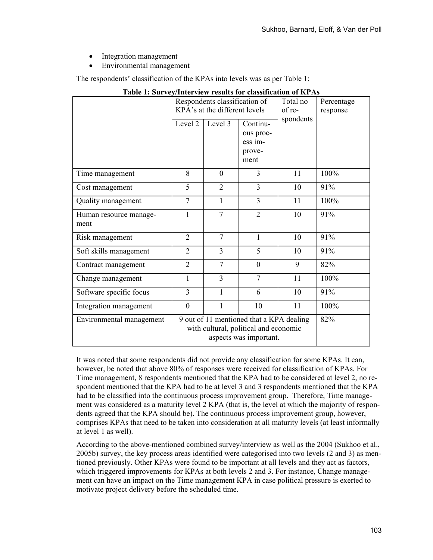- Integration management
- Environmental management

The respondents' classification of the KPAs into levels was as per Table 1:

|                                | Respondents classification of<br>KPA's at the different levels                                              |                |                                                    | Total no<br>of re- | Percentage<br>response |
|--------------------------------|-------------------------------------------------------------------------------------------------------------|----------------|----------------------------------------------------|--------------------|------------------------|
|                                | Level 2                                                                                                     | Level 3        | Continu-<br>ous proc-<br>ess im-<br>prove-<br>ment | spondents          |                        |
| Time management                | 8                                                                                                           | $\Omega$       | 3                                                  | 11                 | 100%                   |
| Cost management                | 5                                                                                                           | $\overline{2}$ | 3                                                  | 10                 | 91%                    |
| Quality management             | $\overline{7}$                                                                                              | 1              | 3                                                  | 11                 | 100%                   |
| Human resource manage-<br>ment | 1                                                                                                           | $\overline{7}$ | $\overline{2}$                                     | 10                 | 91%                    |
| Risk management                | $\overline{2}$                                                                                              | $\tau$         | $\mathbf{1}$                                       | 10                 | 91%                    |
| Soft skills management         | 2                                                                                                           | 3              | 5                                                  | 10                 | 91%                    |
| Contract management            | $\overline{2}$                                                                                              | $\overline{7}$ | $\theta$                                           | 9                  | 82%                    |
| Change management              | 1                                                                                                           | 3              | $\tau$                                             | 11                 | 100%                   |
| Software specific focus        | 3                                                                                                           | 1              | 6                                                  | 10                 | 91%                    |
| Integration management         | $\overline{0}$                                                                                              | 1              | 10                                                 | 11                 | 100%                   |
| Environmental management       | 9 out of 11 mentioned that a KPA dealing<br>with cultural, political and economic<br>aspects was important. |                |                                                    |                    | 82%                    |

#### **Table 1: Survey/Interview results for classification of KPAs**

It was noted that some respondents did not provide any classification for some KPAs. It can, however, be noted that above 80% of responses were received for classification of KPAs. For Time management, 8 respondents mentioned that the KPA had to be considered at level 2, no respondent mentioned that the KPA had to be at level 3 and 3 respondents mentioned that the KPA had to be classified into the continuous process improvement group. Therefore, Time management was considered as a maturity level 2 KPA (that is, the level at which the majority of respondents agreed that the KPA should be). The continuous process improvement group, however, comprises KPAs that need to be taken into consideration at all maturity levels (at least informally at level 1 as well).

According to the above-mentioned combined survey/interview as well as the 2004 (Sukhoo et al., 2005b) survey, the key process areas identified were categorised into two levels (2 and 3) as mentioned previously. Other KPAs were found to be important at all levels and they act as factors, which triggered improvements for KPAs at both levels 2 and 3. For instance, Change management can have an impact on the Time management KPA in case political pressure is exerted to motivate project delivery before the scheduled time.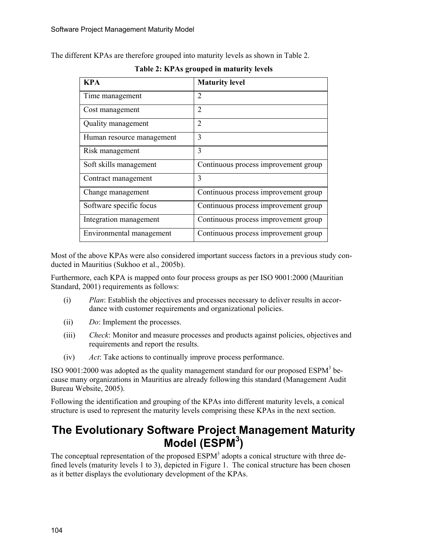The different KPAs are therefore grouped into maturity levels as shown in Table 2.

| <b>KPA</b>                | <b>Maturity level</b>                |
|---------------------------|--------------------------------------|
| Time management           | 2                                    |
| Cost management           | 2                                    |
| Quality management        | $\overline{2}$                       |
| Human resource management | 3                                    |
| Risk management           | 3                                    |
| Soft skills management    | Continuous process improvement group |
| Contract management       | 3                                    |
| Change management         | Continuous process improvement group |
| Software specific focus   | Continuous process improvement group |
| Integration management    | Continuous process improvement group |
| Environmental management  | Continuous process improvement group |

**Table 2: KPAs grouped in maturity levels**

Most of the above KPAs were also considered important success factors in a previous study conducted in Mauritius (Sukhoo et al., 2005b).

Furthermore, each KPA is mapped onto four process groups as per ISO 9001:2000 (Mauritian Standard, 2001) requirements as follows:

- (i) *Plan*: Establish the objectives and processes necessary to deliver results in accordance with customer requirements and organizational policies.
- (ii) *Do*: Implement the processes.
- (iii) *Check*: Monitor and measure processes and products against policies, objectives and requirements and report the results.
- (iv) *Act*: Take actions to continually improve process performance.

ISO 9001:2000 was adopted as the quality management standard for our proposed  $ESPM<sup>3</sup>$  because many organizations in Mauritius are already following this standard (Management Audit Bureau Website, 2005).

Following the identification and grouping of the KPAs into different maturity levels, a conical structure is used to represent the maturity levels comprising these KPAs in the next section.

## **The Evolutionary Software Project Management Maturity Model (ESPM3 )**

The conceptual representation of the proposed  $ESPM<sup>3</sup>$  adopts a conical structure with three defined levels (maturity levels 1 to 3), depicted in Figure 1. The conical structure has been chosen as it better displays the evolutionary development of the KPAs.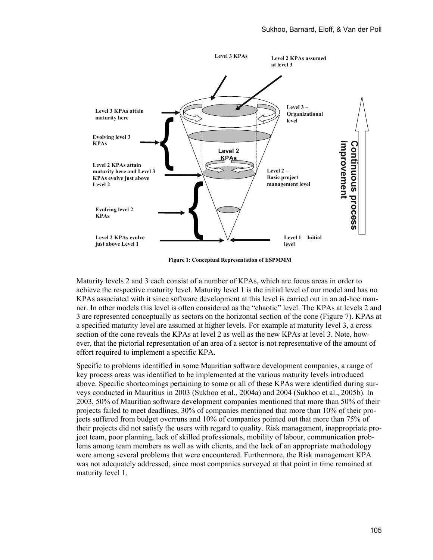

**Figure 1: Conceptual Representation of ESPMMM** 

Maturity levels 2 and 3 each consist of a number of KPAs, which are focus areas in order to achieve the respective maturity level. Maturity level 1 is the initial level of our model and has no KPAs associated with it since software development at this level is carried out in an ad-hoc manner. In other models this level is often considered as the "chaotic" level. The KPAs at levels 2 and 3 are represented conceptually as sectors on the horizontal section of the cone (Figure 7). KPAs at a specified maturity level are assumed at higher levels. For example at maturity level 3, a cross section of the cone reveals the KPAs at level 2 as well as the new KPAs at level 3. Note, however, that the pictorial representation of an area of a sector is not representative of the amount of effort required to implement a specific KPA.

Specific to problems identified in some Mauritian software development companies, a range of key process areas was identified to be implemented at the various maturity levels introduced above. Specific shortcomings pertaining to some or all of these KPAs were identified during surveys conducted in Mauritius in 2003 (Sukhoo et al., 2004a) and 2004 (Sukhoo et al., 2005b). In 2003, 50% of Mauritian software development companies mentioned that more than 50% of their projects failed to meet deadlines, 30% of companies mentioned that more than 10% of their projects suffered from budget overruns and 10% of companies pointed out that more than 75% of their projects did not satisfy the users with regard to quality. Risk management, inappropriate project team, poor planning, lack of skilled professionals, mobility of labour, communication problems among team members as well as with clients, and the lack of an appropriate methodology were among several problems that were encountered. Furthermore, the Risk management KPA was not adequately addressed, since most companies surveyed at that point in time remained at maturity level 1.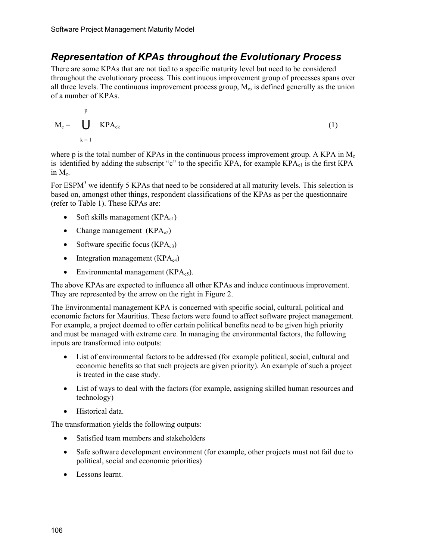#### *Representation of KPAs throughout the Evolutionary Process*

There are some KPAs that are not tied to a specific maturity level but need to be considered throughout the evolutionary process. This continuous improvement group of processes spans over all three levels. The continuous improvement process group,  $M_c$ , is defined generally as the union of a number of KPAs.

$$
M_c = \bigcup_{k=1}^{p} KPA_{ck}
$$
 (1)

where p is the total number of KPAs in the continuous process improvement group. A KPA in  $M_c$ is identified by adding the subscript "c" to the specific KPA, for example  $KPA_{c1}$  is the first KPA in  $M_c$ .

For ESPM<sup>3</sup> we identify 5 KPAs that need to be considered at all maturity levels. This selection is based on, amongst other things, respondent classifications of the KPAs as per the questionnaire (refer to Table 1). These KPAs are:

- Soft skills management  $(KPA<sub>c1</sub>)$
- Change management  $(KPA<sub>c2</sub>)$
- Software specific focus  $(KPA_{c3})$
- Integration management  $(KPA_{c4})$
- Environmental management  $(KPA_{c5})$ .

The above KPAs are expected to influence all other KPAs and induce continuous improvement. They are represented by the arrow on the right in Figure 2.

The Environmental management KPA is concerned with specific social, cultural, political and economic factors for Mauritius. These factors were found to affect software project management. For example, a project deemed to offer certain political benefits need to be given high priority and must be managed with extreme care. In managing the environmental factors, the following inputs are transformed into outputs:

- List of environmental factors to be addressed (for example political, social, cultural and economic benefits so that such projects are given priority). An example of such a project is treated in the case study.
- List of ways to deal with the factors (for example, assigning skilled human resources and technology)
- Historical data.

The transformation yields the following outputs:

- Satisfied team members and stakeholders
- Safe software development environment (for example, other projects must not fail due to political, social and economic priorities)
- Lessons learnt.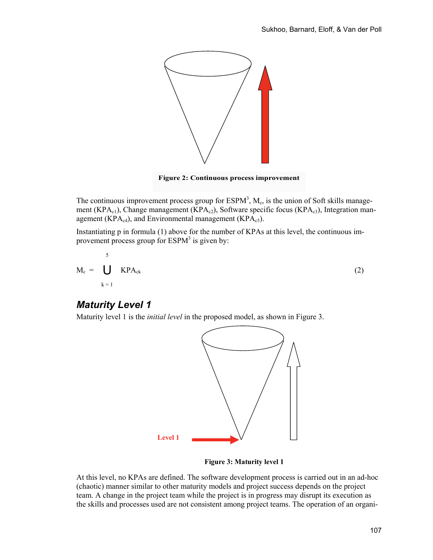

**Figure 2: Continuous process improvement**

The continuous improvement process group for  $ESPM<sup>3</sup>$ ,  $M<sub>c</sub>$ , is the union of Soft skills management (KPA<sub>c1</sub>), Change management (KPA<sub>c2</sub>), Software specific focus (KPA<sub>c3</sub>), Integration management (KPA $_{c4}$ ), and Environmental management (KPA $_{c5}$ ).

Instantiating p in formula (1) above for the number of KPAs at this level, the continuous improvement process group for  $ESPM<sup>3</sup>$  is given by:

$$
M_c = \bigcup_{k=1}^{5} KPA_{ck}
$$
 (2)

#### *Maturity Level 1*

Maturity level 1 is the *initial level* in the proposed model, as shown in Figure 3.



**Figure 3: Maturity level 1** 

At this level, no KPAs are defined. The software development process is carried out in an ad-hoc (chaotic) manner similar to other maturity models and project success depends on the project team. A change in the project team while the project is in progress may disrupt its execution as the skills and processes used are not consistent among project teams. The operation of an organi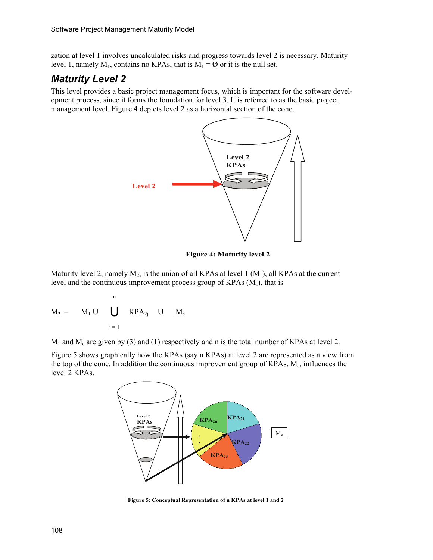zation at level 1 involves uncalculated risks and progress towards level 2 is necessary. Maturity level 1, namely  $M_1$ , contains no KPAs, that is  $M_1 = \emptyset$  or it is the null set.

### *Maturity Level 2*

This level provides a basic project management focus, which is important for the software development process, since it forms the foundation for level 3. It is referred to as the basic project management level. Figure 4 depicts level 2 as a horizontal section of the cone.



**Figure 4: Maturity level 2** 

Maturity level 2, namely  $M_2$ , is the union of all KPAs at level 1 ( $M_1$ ), all KPAs at the current level and the continuous improvement process group of KPAs  $(M<sub>c</sub>)$ , that is

$$
M_2 = \tM_1 \tU \tU \tH P A_{2j} \tU M_c
$$
  

$$
j = 1
$$

 $M_1$  and  $M_c$  are given by (3) and (1) respectively and n is the total number of KPAs at level 2.

Figure 5 shows graphically how the KPAs (say n KPAs) at level 2 are represented as a view from the top of the cone. In addition the continuous improvement group of KPAs,  $M<sub>c</sub>$ , influences the level 2 KPAs.



**Figure 5: Conceptual Representation of n KPAs at level 1 and 2**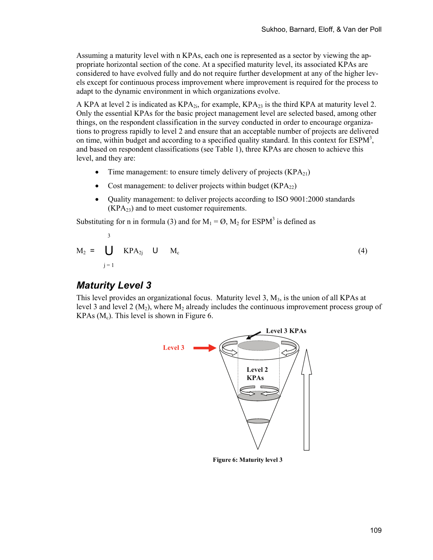Assuming a maturity level with n KPAs, each one is represented as a sector by viewing the appropriate horizontal section of the cone. At a specified maturity level, its associated KPAs are considered to have evolved fully and do not require further development at any of the higher levels except for continuous process improvement where improvement is required for the process to adapt to the dynamic environment in which organizations evolve.

A KPA at level 2 is indicated as  $KPA_{2i}$ , for example,  $KPA_{23}$  is the third KPA at maturity level 2. Only the essential KPAs for the basic project management level are selected based, among other things, on the respondent classification in the survey conducted in order to encourage organizations to progress rapidly to level 2 and ensure that an acceptable number of projects are delivered on time, within budget and according to a specified quality standard. In this context for  $ESPM<sup>3</sup>$ , and based on respondent classifications (see Table 1), three KPAs are chosen to achieve this level, and they are:

- Time management: to ensure timely delivery of projects  $(KPA_{21})$
- Cost management: to deliver projects within budget  $(KPA_{22})$
- Quality management: to deliver projects according to ISO 9001:2000 standards  $(KPA<sub>23</sub>)$  and to meet customer requirements.

Substituting for n in formula (3) and for  $M_1 = \emptyset$ ,  $M_2$  for ESPM<sup>3</sup> is defined as

$$
M_2 = \bigcup_{j=1}^{3} KPA_{2j} \quad U \quad M_c \tag{4}
$$

#### *Maturity Level 3*

This level provides an organizational focus. Maturity level 3,  $M_3$ , is the union of all KPAs at level 3 and level 2  $(M_2)$ , where  $M_2$  already includes the continuous improvement process group of KPAs  $(M<sub>c</sub>)$ . This level is shown in Figure 6.



**Figure 6: Maturity level 3**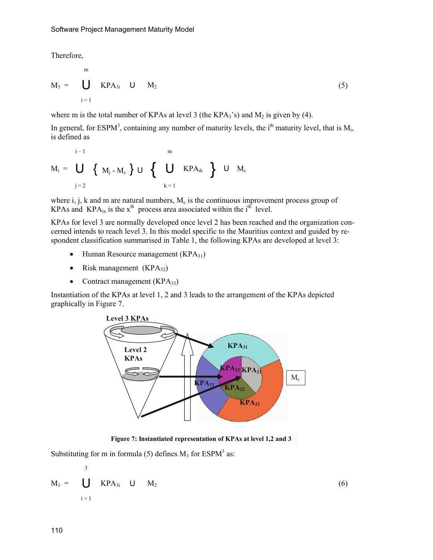Therefore,

$$
M_3 = \bigcup_{i=1}^{m} \text{KPA}_{3i} \quad \text{U} \quad M_2 \tag{5}
$$

where m is the total number of KPAs at level 3 (the KPA $_3$ 's) and  $M_2$  is given by (4).

In general, for ESPM<sup>3</sup>, containing any number of maturity levels, the i<sup>th</sup> maturity level, that is  $M_i$ , is defined as

$$
M_{i} = \bigcup_{j=2}^{i-1} \{ M_{j} - M_{c} \} \cup \{ \bigcup_{k=1}^{m} KPA_{ik} \} \cup M_{c}
$$

where i, j, k and m are natural numbers,  $M_c$  is the continuous improvement process group of KPAs and KPA<sub>ix</sub> is the x<sup>th</sup> process area associated within the i<sup>th</sup> level.

KPAs for level 3 are normally developed once level 2 has been reached and the organization concerned intends to reach level 3. In this model specific to the Mauritius context and guided by respondent classification summarised in Table 1, the following KPAs are developed at level 3:

- Human Resource management  $(KPA_{31})$
- Risk management  $(KPA_{32})$
- Contract management  $(KPA_{33})$

Instantiation of the KPAs at level 1, 2 and 3 leads to the arrangement of the KPAs depicted graphically in Figure 7.



**Figure 7: Instantiated representation of KPAs at level 1,2 and 3**

Substituting for m in formula (5) defines  $M_3$  for ESPM<sup>3</sup> as:

$$
M_3 = \bigcup_{i=1}^{3} \text{KPA}_{3i} \quad \text{U} \quad M_2 \tag{6}
$$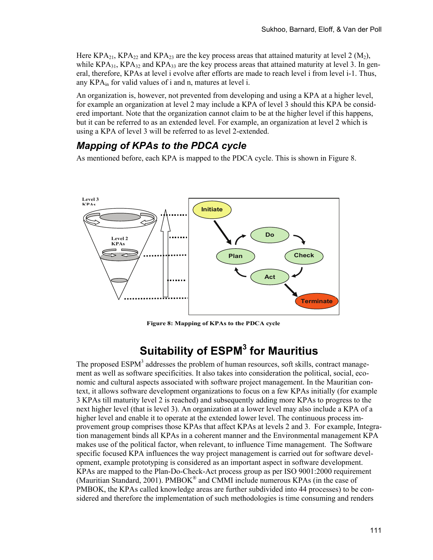Here KPA<sub>21</sub>, KPA<sub>22</sub> and KPA<sub>23</sub> are the key process areas that attained maturity at level 2 (M<sub>2</sub>), while  $KPA_{31}$ ,  $KPA_{32}$  and  $KPA_{33}$  are the key process areas that attained maturity at level 3. In general, therefore, KPAs at level i evolve after efforts are made to reach level i from level i-1. Thus, any  $KPA_{in}$  for valid values of i and n, matures at level i.

An organization is, however, not prevented from developing and using a KPA at a higher level, for example an organization at level 2 may include a KPA of level 3 should this KPA be considered important. Note that the organization cannot claim to be at the higher level if this happens, but it can be referred to as an extended level. For example, an organization at level 2 which is using a KPA of level 3 will be referred to as level 2-extended.

### *Mapping of KPAs to the PDCA cycle*

As mentioned before, each KPA is mapped to the PDCA cycle. This is shown in Figure 8.



**Figure 8: Mapping of KPAs to the PDCA cycle** 

# **Suitability of ESPM3 for Mauritius**

The proposed ESPM<sup>3</sup> addresses the problem of human resources, soft skills, contract management as well as software specificities. It also takes into consideration the political, social, economic and cultural aspects associated with software project management. In the Mauritian context, it allows software development organizations to focus on a few KPAs initially (for example 3 KPAs till maturity level 2 is reached) and subsequently adding more KPAs to progress to the next higher level (that is level 3). An organization at a lower level may also include a KPA of a higher level and enable it to operate at the extended lower level. The continuous process improvement group comprises those KPAs that affect KPAs at levels 2 and 3. For example, Integration management binds all KPAs in a coherent manner and the Environmental management KPA makes use of the political factor, when relevant, to influence Time management. The Software specific focused KPA influences the way project management is carried out for software development, example prototyping is considered as an important aspect in software development. KPAs are mapped to the Plan-Do-Check-Act process group as per ISO 9001:2000 requirement (Mauritian Standard, 2001). PMBOK<sup>®</sup> and CMMI include numerous KPAs (in the case of PMBOK, the KPAs called knowledge areas are further subdivided into 44 processes) to be considered and therefore the implementation of such methodologies is time consuming and renders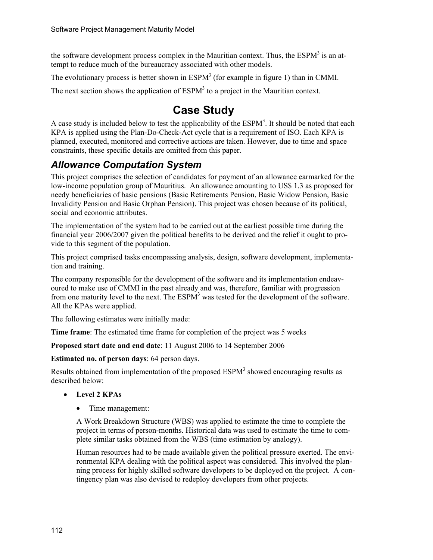the software development process complex in the Mauritian context. Thus, the  $ESPM<sup>3</sup>$  is an attempt to reduce much of the bureaucracy associated with other models.

The evolutionary process is better shown in  $ESPM<sup>3</sup>$  (for example in figure 1) than in CMMI.

The next section shows the application of  $ESPM<sup>3</sup>$  to a project in the Mauritian context.

## **Case Study**

A case study is included below to test the applicability of the  $ESPM<sup>3</sup>$ . It should be noted that each KPA is applied using the Plan-Do-Check-Act cycle that is a requirement of ISO. Each KPA is planned, executed, monitored and corrective actions are taken. However, due to time and space constraints, these specific details are omitted from this paper.

### *Allowance Computation System*

This project comprises the selection of candidates for payment of an allowance earmarked for the low-income population group of Mauritius. An allowance amounting to US\$ 1.3 as proposed for needy beneficiaries of basic pensions (Basic Retirements Pension, Basic Widow Pension, Basic Invalidity Pension and Basic Orphan Pension). This project was chosen because of its political, social and economic attributes.

The implementation of the system had to be carried out at the earliest possible time during the financial year 2006/2007 given the political benefits to be derived and the relief it ought to provide to this segment of the population.

This project comprised tasks encompassing analysis, design, software development, implementation and training.

The company responsible for the development of the software and its implementation endeavoured to make use of CMMI in the past already and was, therefore, familiar with progression from one maturity level to the next. The  $ESPM<sup>3</sup>$  was tested for the development of the software. All the KPAs were applied.

The following estimates were initially made:

**Time frame**: The estimated time frame for completion of the project was 5 weeks

**Proposed start date and end date**: 11 August 2006 to 14 September 2006

**Estimated no. of person days**: 64 person days.

Results obtained from implementation of the proposed  $ESPM<sup>3</sup>$  showed encouraging results as described below:

- **Level 2 KPAs** 
	- Time management:

A Work Breakdown Structure (WBS) was applied to estimate the time to complete the project in terms of person-months. Historical data was used to estimate the time to complete similar tasks obtained from the WBS (time estimation by analogy).

Human resources had to be made available given the political pressure exerted. The environmental KPA dealing with the political aspect was considered. This involved the planning process for highly skilled software developers to be deployed on the project. A contingency plan was also devised to redeploy developers from other projects.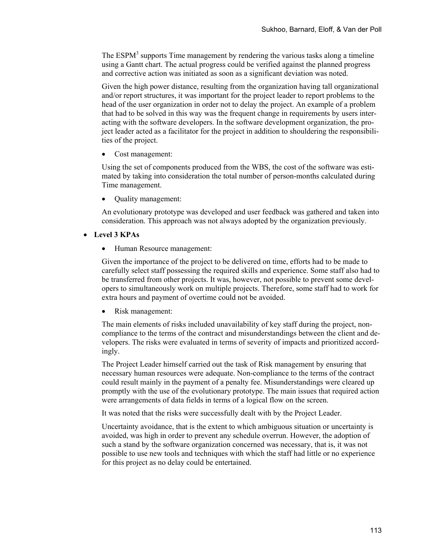The ESPM $<sup>3</sup>$  supports Time management by rendering the various tasks along a timeline</sup> using a Gantt chart. The actual progress could be verified against the planned progress and corrective action was initiated as soon as a significant deviation was noted.

Given the high power distance, resulting from the organization having tall organizational and/or report structures, it was important for the project leader to report problems to the head of the user organization in order not to delay the project. An example of a problem that had to be solved in this way was the frequent change in requirements by users interacting with the software developers. In the software development organization, the project leader acted as a facilitator for the project in addition to shouldering the responsibilities of the project.

• Cost management:

Using the set of components produced from the WBS, the cost of the software was estimated by taking into consideration the total number of person-months calculated during Time management.

• Quality management:

An evolutionary prototype was developed and user feedback was gathered and taken into consideration. This approach was not always adopted by the organization previously.

#### • **Level 3 KPAs**

• Human Resource management:

Given the importance of the project to be delivered on time, efforts had to be made to carefully select staff possessing the required skills and experience. Some staff also had to be transferred from other projects. It was, however, not possible to prevent some developers to simultaneously work on multiple projects. Therefore, some staff had to work for extra hours and payment of overtime could not be avoided.

• Risk management:

The main elements of risks included unavailability of key staff during the project, noncompliance to the terms of the contract and misunderstandings between the client and developers. The risks were evaluated in terms of severity of impacts and prioritized accordingly.

The Project Leader himself carried out the task of Risk management by ensuring that necessary human resources were adequate. Non-compliance to the terms of the contract could result mainly in the payment of a penalty fee. Misunderstandings were cleared up promptly with the use of the evolutionary prototype. The main issues that required action were arrangements of data fields in terms of a logical flow on the screen.

It was noted that the risks were successfully dealt with by the Project Leader.

Uncertainty avoidance, that is the extent to which ambiguous situation or uncertainty is avoided, was high in order to prevent any schedule overrun. However, the adoption of such a stand by the software organization concerned was necessary, that is, it was not possible to use new tools and techniques with which the staff had little or no experience for this project as no delay could be entertained.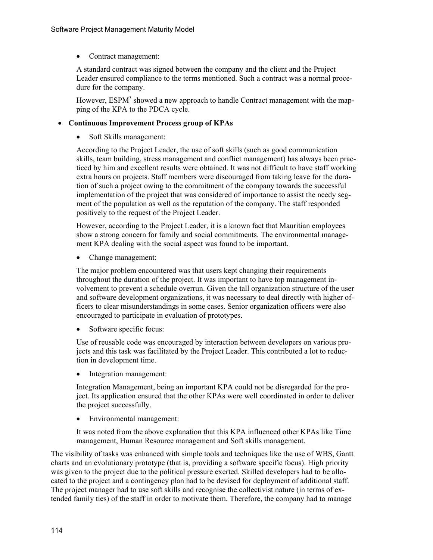• Contract management:

A standard contract was signed between the company and the client and the Project Leader ensured compliance to the terms mentioned. Such a contract was a normal procedure for the company.

However, ESPM<sup>3</sup> showed a new approach to handle Contract management with the mapping of the KPA to the PDCA cycle.

#### • **Continuous Improvement Process group of KPAs**

• Soft Skills management:

According to the Project Leader, the use of soft skills (such as good communication skills, team building, stress management and conflict management) has always been practiced by him and excellent results were obtained. It was not difficult to have staff working extra hours on projects. Staff members were discouraged from taking leave for the duration of such a project owing to the commitment of the company towards the successful implementation of the project that was considered of importance to assist the needy segment of the population as well as the reputation of the company. The staff responded positively to the request of the Project Leader.

However, according to the Project Leader, it is a known fact that Mauritian employees show a strong concern for family and social commitments. The environmental management KPA dealing with the social aspect was found to be important.

• Change management:

The major problem encountered was that users kept changing their requirements throughout the duration of the project. It was important to have top management involvement to prevent a schedule overrun. Given the tall organization structure of the user and software development organizations, it was necessary to deal directly with higher officers to clear misunderstandings in some cases. Senior organization officers were also encouraged to participate in evaluation of prototypes.

• Software specific focus:

Use of reusable code was encouraged by interaction between developers on various projects and this task was facilitated by the Project Leader. This contributed a lot to reduction in development time.

• Integration management:

Integration Management, being an important KPA could not be disregarded for the project. Its application ensured that the other KPAs were well coordinated in order to deliver the project successfully.

• Environmental management:

It was noted from the above explanation that this KPA influenced other KPAs like Time management, Human Resource management and Soft skills management.

The visibility of tasks was enhanced with simple tools and techniques like the use of WBS, Gantt charts and an evolutionary prototype (that is, providing a software specific focus). High priority was given to the project due to the political pressure exerted. Skilled developers had to be allocated to the project and a contingency plan had to be devised for deployment of additional staff. The project manager had to use soft skills and recognise the collectivist nature (in terms of extended family ties) of the staff in order to motivate them. Therefore, the company had to manage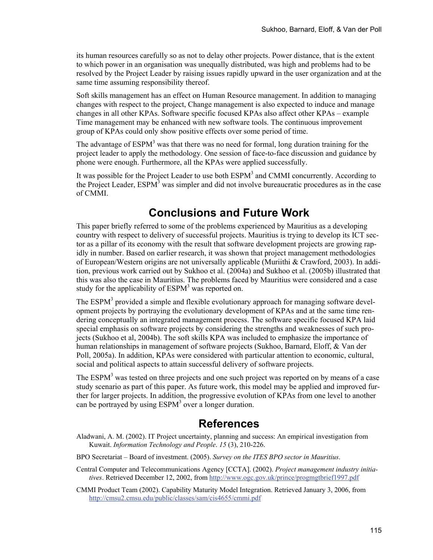its human resources carefully so as not to delay other projects. Power distance, that is the extent to which power in an organisation was unequally distributed, was high and problems had to be resolved by the Project Leader by raising issues rapidly upward in the user organization and at the same time assuming responsibility thereof.

Soft skills management has an effect on Human Resource management. In addition to managing changes with respect to the project, Change management is also expected to induce and manage changes in all other KPAs. Software specific focused KPAs also affect other KPAs – example Time management may be enhanced with new software tools. The continuous improvement group of KPAs could only show positive effects over some period of time.

The advantage of  $ESPM<sup>3</sup>$  was that there was no need for formal, long duration training for the project leader to apply the methodology. One session of face-to-face discussion and guidance by phone were enough. Furthermore, all the KPAs were applied successfully.

It was possible for the Project Leader to use both ESPM<sup>3</sup> and CMMI concurrently. According to the Project Leader,  $ESPM<sup>3</sup>$  was simpler and did not involve bureaucratic procedures as in the case of CMMI.

### **Conclusions and Future Work**

This paper briefly referred to some of the problems experienced by Mauritius as a developing country with respect to delivery of successful projects. Mauritius is trying to develop its ICT sector as a pillar of its economy with the result that software development projects are growing rapidly in number. Based on earlier research, it was shown that project management methodologies of European/Western origins are not universally applicable (Muriithi & Crawford, 2003). In addition, previous work carried out by Sukhoo et al. (2004a) and Sukhoo et al. (2005b) illustrated that this was also the case in Mauritius. The problems faced by Mauritius were considered and a case study for the applicability of  $ESPM<sup>3</sup>$  was reported on.

The ESPM<sup>3</sup> provided a simple and flexible evolutionary approach for managing software development projects by portraying the evolutionary development of KPAs and at the same time rendering conceptually an integrated management process. The software specific focused KPA laid special emphasis on software projects by considering the strengths and weaknesses of such projects (Sukhoo et al, 2004b). The soft skills KPA was included to emphasize the importance of human relationships in management of software projects (Sukhoo, Barnard, Eloff, & Van der Poll, 2005a). In addition, KPAs were considered with particular attention to economic, cultural, social and political aspects to attain successful delivery of software projects.

The ESPM<sup>3</sup> was tested on three projects and one such project was reported on by means of a case study scenario as part of this paper. As future work, this model may be applied and improved further for larger projects. In addition, the progressive evolution of KPAs from one level to another can be portrayed by using  $ESPM<sup>3</sup>$  over a longer duration.

### **References**

- Aladwani, A. M. (2002). IT Project uncertainty, planning and success: An empirical investigation from Kuwait. *Information Technology and People*. *15* (3), 210-226.
- BPO Secretariat Board of investment. (2005). *Survey on the ITES BPO sector in Mauritius*.
- Central Computer and Telecommunications Agency [CCTA]. (2002). *Project management industry initiatives*. Retrieved December 12, 2002, from http://www.ogc.gov.uk/prince/progmgtbrief1997.pdf
- CMMI Product Team (2002). Capability Maturity Model Integration. Retrieved January 3, 2006, from http://cmsu2.cmsu.edu/public/classes/sam/cis4655/cmmi.pdf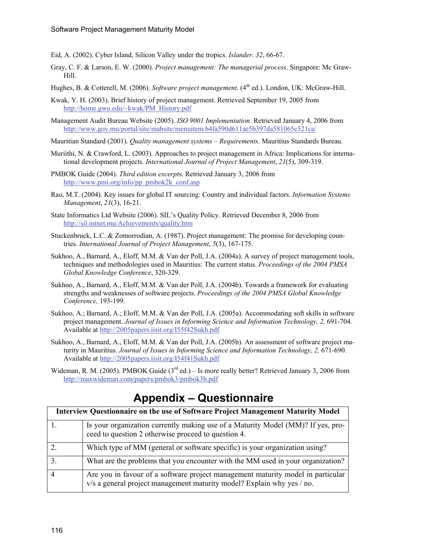- Eid, A. (2002). Cyber Island, Silicon Valley under the tropics. *Islander*. *32*, 66-67.
- Gray, C. F. & Larson, E. W. (2000). *Project management: The managerial process*. Singapore: Mc Graw-Hill.
- Hughes, B. & Cotterell, M. (2006). *Software project management*. (4<sup>th</sup> ed.). London, UK: McGraw-Hill.
- Kwak, Y. H. (2003). Brief history of project management. Retrieved September 19, 2005 from http://home.gwu.edu/~kwak/PM\_History.pdf
- Management Audit Bureau Website (2005). *ISO 9001 Implementation*. Retrieved January 4, 2006 from http://www.gov.mu/portal/site/mabsite/menuitem.b4fa590d611ae5b397da581065c521ca/
- Mauritian Standard (2001). *Quality management systems Requirements*. Mauritius Standards Bureau.
- Muriithi, N. & Crawford, L. (2003). Approaches to project management in Africa: Implications for international development projects. *International Journal of Project Management*, *21*(5), 309-319.
- PMBOK Guide (2004). *Third edition excerpt*s. Retrieved January 3, 2006 from http://www.pmi.org/info/pp\_pmbok2k\_conf.asp
- Rao, M.T. (2004). Key issues for global IT sourcing: Country and individual factors. *Information Systems Management*, *21*(3), 16-21.
- State Informatics Ltd Website (2006). SIL's Quality Policy. Retrieved December 8, 2006 from http://sil.intnet.mu/Achievements/quality.htm
- Stuckenbruck, L.C. & Zomorrodian, A. (1987). Project management: The promise for developing countries. *International Journal of Project Management*, *5*(3), 167-175.
- Sukhoo, A., Barnard, A., Eloff, M.M. & Van der Poll, J.A. (2004a). A survey of project management tools, techniques and methodologies used in Mauritius: The current status. *Proceedings of the 2004 PMSA Global Knowledge Conference*, 320-329.
- Sukhoo, A., Barnard, A., Eloff, M.M. & Van der Poll, J.A. (2004b). Towards a framework for evaluating strengths and weaknesses of software projects. *Proceedings of the 2004 PMSA Global Knowledge Conference,* 193-199.
- Sukhoo, A.; Barnard, A.; Eloff, M.M. & Van der Poll, J.A. (2005a). Accommodating soft skills in software project management. *Journal of Issues in Informing Science and Information Technology, 2,* 691-704. Available at http://2005papers.iisit.org/I55f42Sukh.pdf
- Sukhoo, A., Barnard, A., Eloff, M.M. & Van der Poll, J.A. (2005b). An assessment of software project maturity in Mauritius. *Journal of Issues in Informing Science and Information Technology, 2,* 671-690. Available at http://2005papers.iisit.org/I54f41Sukh.pdf
- Wideman, R. M. (2005). PMBOK Guide  $(3<sup>rd</sup>$  ed.) Is more really better? Retrieved January 3, 2006 from http://maxwideman.com/papers/pmbok3/pmbok3b.pdf

### **Appendix – Questionnaire**

| Interview Questionnaire on the use of Software Project Management Maturity Model |                                                                                                                                                           |  |  |  |
|----------------------------------------------------------------------------------|-----------------------------------------------------------------------------------------------------------------------------------------------------------|--|--|--|
|                                                                                  | Is your organization currently making use of a Maturity Model (MM)? If yes, pro-<br>ceed to question 2 otherwise proceed to question 4.                   |  |  |  |
|                                                                                  | Which type of MM (general or software specific) is your organization using?                                                                               |  |  |  |
|                                                                                  | What are the problems that you encounter with the MM used in your organization?                                                                           |  |  |  |
|                                                                                  | Are you in favour of a software project management maturity model in particular<br>v/s a general project management maturity model? Explain why yes / no. |  |  |  |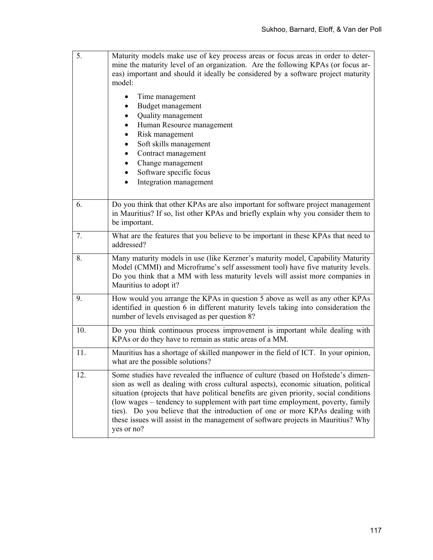| 5.  | Maturity models make use of key process areas or focus areas in order to deter-<br>mine the maturity level of an organization. Are the following KPAs (or focus ar-<br>eas) important and should it ideally be considered by a software project maturity<br>model:                                                                                                                                                                                                                                                                    |
|-----|---------------------------------------------------------------------------------------------------------------------------------------------------------------------------------------------------------------------------------------------------------------------------------------------------------------------------------------------------------------------------------------------------------------------------------------------------------------------------------------------------------------------------------------|
|     | Time management<br>Budget management<br>Quality management<br>Human Resource management<br>Risk management<br>Soft skills management<br>Contract management<br>$\bullet$<br>Change management<br>$\bullet$<br>Software specific focus<br>$\bullet$<br>Integration management                                                                                                                                                                                                                                                          |
| 6.  | Do you think that other KPAs are also important for software project management<br>in Mauritius? If so, list other KPAs and briefly explain why you consider them to<br>be important.                                                                                                                                                                                                                                                                                                                                                 |
| 7.  | What are the features that you believe to be important in these KPAs that need to<br>addressed?                                                                                                                                                                                                                                                                                                                                                                                                                                       |
| 8.  | Many maturity models in use (like Kerzner's maturity model, Capability Maturity<br>Model (CMMI) and Microframe's self assessment tool) have five maturity levels.<br>Do you think that a MM with less maturity levels will assist more companies in<br>Mauritius to adopt it?                                                                                                                                                                                                                                                         |
| 9.  | How would you arrange the KPAs in question 5 above as well as any other KPAs<br>identified in question 6 in different maturity levels taking into consideration the<br>number of levels envisaged as per question 8?                                                                                                                                                                                                                                                                                                                  |
| 10. | Do you think continuous process improvement is important while dealing with<br>KPAs or do they have to remain as static areas of a MM.                                                                                                                                                                                                                                                                                                                                                                                                |
| 11. | Mauritius has a shortage of skilled manpower in the field of ICT. In your opinion,<br>what are the possible solutions?                                                                                                                                                                                                                                                                                                                                                                                                                |
| 12. | Some studies have revealed the influence of culture (based on Hofstede's dimen-<br>sion as well as dealing with cross cultural aspects), economic situation, political<br>situation (projects that have political benefits are given priority, social conditions<br>(low wages - tendency to supplement with part time employment, poverty, family<br>ties). Do you believe that the introduction of one or more KPAs dealing with<br>these issues will assist in the management of software projects in Mauritius? Why<br>yes or no? |